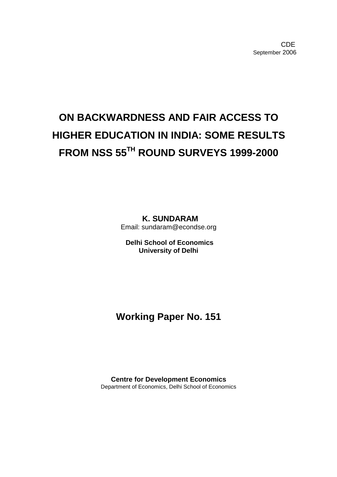# **ON BACKWARDNESS AND FAIR ACCESS TO HIGHER EDUCATION IN INDIA: SOME RESULTS FROM NSS 55TH ROUND SURVEYS 1999-2000**

**K. SUNDARAM**  Email: sundaram@econdse.org

**Delhi School of Economics University of Delhi**

# **Working Paper No. 151**

**Centre for Development Economics**  Department of Economics, Delhi School of Economics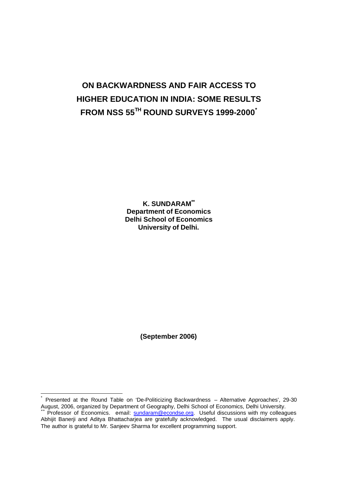# **ON BACKWARDNESS AND FAIR ACCESS TO HIGHER EDUCATION IN INDIA: SOME RESULTS FROM NSS 55TH ROUND SURVEYS 1999-2000\***

**K. SUNDARAM\*\* Department of Economics Delhi School of Economics University of Delhi.**

**(September 2006)**

 $\overline{1}$ 

<sup>\*</sup> Presented at the Round Table on 'De-Politicizing Backwardness – Alternative Approaches', 29-30 August, 2006, organized by Department of Geography, Delhi School of Economics, Delhi University.  $\overline{P}$ rofessor of Economics. e-mail: sundaram@econdse.org. Useful discussions with my colleagues

Abhijit Banerji and Aditya Bhattacharjea are gratefully acknowledged. The usual disclaimers apply. The author is grateful to Mr. Sanjeev Sharma for excellent programming support.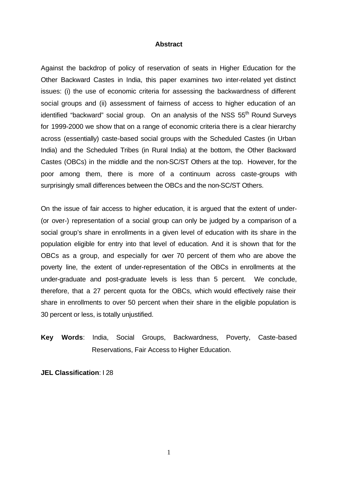### **Abstract**

Against the backdrop of policy of reservation of seats in Higher Education for the Other Backward Castes in India, this paper examines two inter-related yet distinct issues: (i) the use of economic criteria for assessing the backwardness of different social groups and (ii) assessment of fairness of access to higher education of an identified "backward" social group. On an analysis of the NSS 55<sup>th</sup> Round Surveys for 1999-2000 we show that on a range of economic criteria there is a clear hierarchy across (essentially) caste-based social groups with the Scheduled Castes (in Urban India) and the Scheduled Tribes (in Rural India) at the bottom, the Other Backward Castes (OBCs) in the middle and the non-SC/ST Others at the top. However, for the poor among them, there is more of a continuum across caste-groups with surprisingly small differences between the OBCs and the non-SC/ST Others.

On the issue of fair access to higher education, it is argued that the extent of under- (or over-) representation of a social group can only be judged by a comparison of a social group's share in enrollments in a given level of education with its share in the population eligible for entry into that level of education. And it is shown that for the OBCs as a group, and especially for over 70 percent of them who are above the poverty line, the extent of under-representation of the OBCs in enrollments at the under-graduate and post-graduate levels is less than 5 percent. We conclude, therefore, that a 27 percent quota for the OBCs, which would effectively raise their share in enrollments to over 50 percent when their share in the eligible population is 30 percent or less, is totally unjustified.

**Key Words**: India, Social Groups, Backwardness, Poverty, Caste-based Reservations, Fair Access to Higher Education.

**JEL Classification**: I 28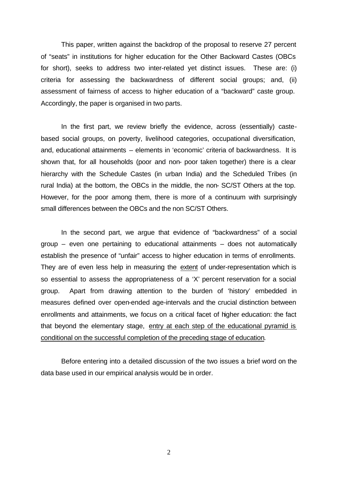This paper, written against the backdrop of the proposal to reserve 27 percent of "seats" in institutions for higher education for the Other Backward Castes (OBCs for short), seeks to address two inter-related yet distinct issues. These are: (i) criteria for assessing the backwardness of different social groups; and, (ii) assessment of fairness of access to higher education of a "backward" caste group. Accordingly, the paper is organised in two parts.

In the first part, we review briefly the evidence, across (essentially) castebased social groups, on poverty, livelihood categories, occupational diversification, and, educational attainments – elements in 'economic' criteria of backwardness. It is shown that, for all households (poor and non- poor taken together) there is a clear hierarchy with the Schedule Castes (in urban India) and the Scheduled Tribes (in rural India) at the bottom, the OBCs in the middle, the non- SC/ST Others at the top. However, for the poor among them, there is more of a continuum with surprisingly small differences between the OBCs and the non SC/ST Others.

In the second part, we argue that evidence of "backwardness" of a social group – even one pertaining to educational attainments – does not automatically establish the presence of "unfair" access to higher education in terms of enrollments. They are of even less help in measuring the extent of under-representation which is so essential to assess the appropriateness of a 'X' percent reservation for a social group. Apart from drawing attention to the burden of 'history' embedded in measures defined over open-ended age-intervals and the crucial distinction between enrollments and attainments, we focus on a critical facet of higher education: the fact that beyond the elementary stage, entry at each step of the educational pyramid is conditional on the successful completion of the preceding stage of education.

Before entering into a detailed discussion of the two issues a brief word on the data base used in our empirical analysis would be in order.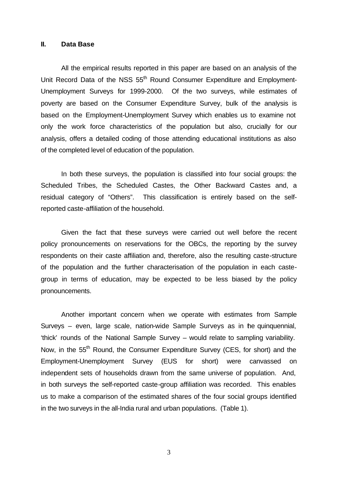### **II. Data Base**

All the empirical results reported in this paper are based on an analysis of the Unit Record Data of the NSS 55<sup>th</sup> Round Consumer Expenditure and Employment-Unemployment Surveys for 1999-2000. Of the two surveys, while estimates of poverty are based on the Consumer Expenditure Survey, bulk of the analysis is based on the Employment-Unemployment Survey which enables us to examine not only the work force characteristics of the population but also, crucially for our analysis, offers a detailed coding of those attending educational institutions as also of the completed level of education of the population.

In both these surveys, the population is classified into four social groups: the Scheduled Tribes, the Scheduled Castes, the Other Backward Castes and, a residual category of "Others". This classification is entirely based on the selfreported caste-affiliation of the household.

Given the fact that these surveys were carried out well before the recent policy pronouncements on reservations for the OBCs, the reporting by the survey respondents on their caste affiliation and, therefore, also the resulting caste-structure of the population and the further characterisation of the population in each castegroup in terms of education, may be expected to be less biased by the policy pronouncements.

Another important concern when we operate with estimates from Sample Surveys – even, large scale, nation-wide Sample Surveys as in the quinquennial, 'thick' rounds of the National Sample Survey – would relate to sampling variability. Now, in the 55<sup>th</sup> Round, the Consumer Expenditure Survey (CES, for short) and the Employment-Unemployment Survey (EUS for short) were canvassed on independent sets of households drawn from the same universe of population. And, in both surveys the self-reported caste-group affiliation was recorded. This enables us to make a comparison of the estimated shares of the four social groups identified in the two surveys in the all-India rural and urban populations. (Table 1).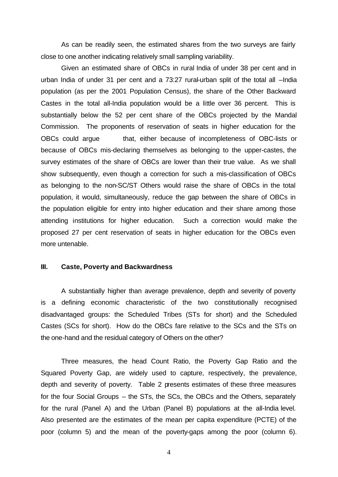As can be readily seen, the estimated shares from the two surveys are fairly close to one another indicating relatively small sampling variability.

Given an estimated share of OBCs in rural India of under 38 per cent and in urban India of under 31 per cent and a 73:27 rural-urban split of the total all –India population (as per the 2001 Population Census), the share of the Other Backward Castes in the total all-India population would be a little over 36 percent. This is substantially below the 52 per cent share of the OBCs projected by the Mandal Commission. The proponents of reservation of seats in higher education for the OBCs could argue that, either because of incompleteness of OBC-lists or because of OBCs mis-declaring themselves as belonging to the upper-castes, the survey estimates of the share of OBCs are lower than their true value. As we shall show subsequently, even though a correction for such a mis-classification of OBCs as belonging to the non-SC/ST Others would raise the share of OBCs in the total population, it would, simultaneously, reduce the gap between the share of OBCs in the population eligible for entry into higher education and their share among those attending institutions for higher education. Such a correction would make the proposed 27 per cent reservation of seats in higher education for the OBCs even more untenable.

### **III. Caste, Poverty and Backwardness**

A substantially higher than average prevalence, depth and severity of poverty is a defining economic characteristic of the two constitutionally recognised disadvantaged groups: the Scheduled Tribes (STs for short) and the Scheduled Castes (SCs for short). How do the OBCs fare relative to the SCs and the STs on the one-hand and the residual category of Others on the other?

Three measures, the head Count Ratio, the Poverty Gap Ratio and the Squared Poverty Gap, are widely used to capture, respectively, the prevalence, depth and severity of poverty. Table 2 presents estimates of these three measures for the four Social Groups – the STs, the SCs, the OBCs and the Others, separately for the rural (Panel A) and the Urban (Panel B) populations at the all-India level. Also presented are the estimates of the mean per capita expenditure (PCTE) of the poor (column 5) and the mean of the poverty-gaps among the poor (column 6).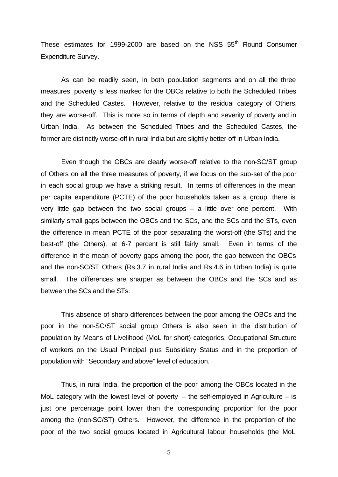These estimates for 1999-2000 are based on the NSS  $55<sup>th</sup>$  Round Consumer Expenditure Survey.

As can be readily seen, in both population segments and on all the three measures, poverty is less marked for the OBCs relative to both the Scheduled Tribes and the Scheduled Castes. However, relative to the residual category of Others, they are worse-off. This is more so in terms of depth and severity of poverty and in Urban India. As between the Scheduled Tribes and the Scheduled Castes, the former are distinctly worse-off in rural India but are slightly better-off in Urban India.

Even though the OBCs are clearly worse-off relative to the non-SC/ST group of Others on all the three measures of poverty, if we focus on the sub-set of the poor in each social group we have a striking result. In terms of differences in the mean per capita expenditure (PCTE) of the poor households taken as a group, there is very little gap between the two social groups – a little over one percent. With similarly small gaps between the OBCs and the SCs, and the SCs and the STs, even the difference in mean PCTE of the poor separating the worst-off (the STs) and the best-off (the Others), at 6-7 percent is still fairly small. Even in terms of the difference in the mean of poverty gaps among the poor, the gap between the OBCs and the non-SC/ST Others (Rs.3.7 in rural India and Rs.4.6 in Urban India) is quite small. The differences are sharper as between the OBCs and the SCs and as between the SCs and the STs.

This absence of sharp differences between the poor among the OBCs and the poor in the non-SC/ST social group Others is also seen in the distribution of population by Means of Livelihood (MoL for short) categories, Occupational Structure of workers on the Usual Principal plus Subsidiary Status and in the proportion of population with "Secondary and above" level of education.

Thus, in rural India, the proportion of the poor among the OBCs located in the MoL category with the lowest level of poverty  $-$  the self-employed in Agriculture  $-$  is just one percentage point lower than the corresponding proportion for the poor among the (non-SC/ST) Others. However, the difference in the proportion of the poor of the two social groups located in Agricultural labour households (the MoL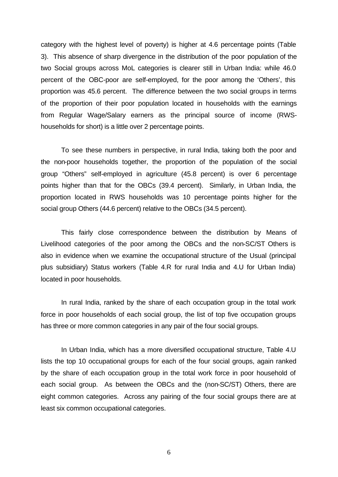category with the highest level of poverty) is higher at 4.6 percentage points (Table 3). This absence of sharp divergence in the distribution of the poor population of the two Social groups across MoL categories is clearer still in Urban India: while 46.0 percent of the OBC-poor are self-employed, for the poor among the 'Others', this proportion was 45.6 percent. The difference between the two social groups in terms of the proportion of their poor population located in households with the earnings from Regular Wage/Salary earners as the principal source of income (RWShouseholds for short) is a little over 2 percentage points.

To see these numbers in perspective, in rural India, taking both the poor and the non-poor households together, the proportion of the population of the social group "Others" self-employed in agriculture (45.8 percent) is over 6 percentage points higher than that for the OBCs (39.4 percent). Similarly, in Urban India, the proportion located in RWS households was 10 percentage points higher for the social group Others (44.6 percent) relative to the OBCs (34.5 percent).

This fairly close correspondence between the distribution by Means of Livelihood categories of the poor among the OBCs and the non-SC/ST Others is also in evidence when we examine the occupational structure of the Usual (principal plus subsidiary) Status workers (Table 4.R for rural India and 4.U for Urban India) located in poor households.

In rural India, ranked by the share of each occupation group in the total work force in poor households of each social group, the list of top five occupation groups has three or more common categories in any pair of the four social groups.

In Urban India, which has a more diversified occupational structure, Table 4.U lists the top 10 occupational groups for each of the four social groups, again ranked by the share of each occupation group in the total work force in poor household of each social group. As between the OBCs and the (non-SC/ST) Others, there are eight common categories. Across any pairing of the four social groups there are at least six common occupational categories.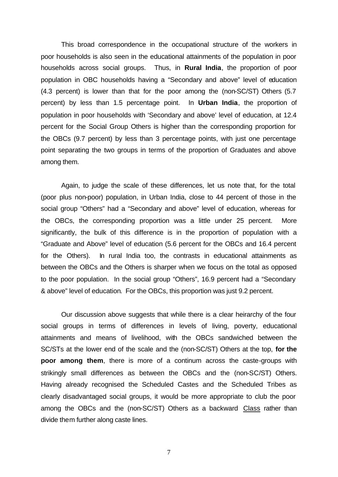This broad correspondence in the occupational structure of the workers in poor households is also seen in the educational attainments of the population in poor households across social groups. Thus, in **Rural India**, the proportion of poor population in OBC households having a "Secondary and above" level of education (4.3 percent) is lower than that for the poor among the (non-SC/ST) Others (5.7 percent) by less than 1.5 percentage point. In **Urban India**, the proportion of population in poor households with 'Secondary and above' level of education, at 12.4 percent for the Social Group Others is higher than the corresponding proportion for the OBCs (9.7 percent) by less than 3 percentage points, with just one percentage point separating the two groups in terms of the proportion of Graduates and above among them.

Again, to judge the scale of these differences, let us note that, for the total (poor plus non-poor) population, in Urban India, close to 44 percent of those in the social group "Others" had a "Secondary and above" level of education, whereas for the OBCs, the corresponding proportion was a little under 25 percent. More significantly, the bulk of this difference is in the proportion of population with a "Graduate and Above" level of education (5.6 percent for the OBCs and 16.4 percent for the Others). In rural India too, the contrasts in educational attainments as between the OBCs and the Others is sharper when we focus on the total as opposed to the poor population. In the social group "Others", 16.9 percent had a "Secondary & above" level of education. For the OBCs, this proportion was just 9.2 percent.

Our discussion above suggests that while there is a clear heirarchy of the four social groups in terms of differences in levels of living, poverty, educational attainments and means of livelihood, with the OBCs sandwiched between the SC/STs at the lower end of the scale and the (non-SC/ST) Others at the top, **for the poor among them**, there is more of a continum across the caste-groups with strikingly small differences as between the OBCs and the (non-SC/ST) Others. Having already recognised the Scheduled Castes and the Scheduled Tribes as clearly disadvantaged social groups, it would be more appropriate to club the poor among the OBCs and the (non-SC/ST) Others as a backward Class rather than divide them further along caste lines.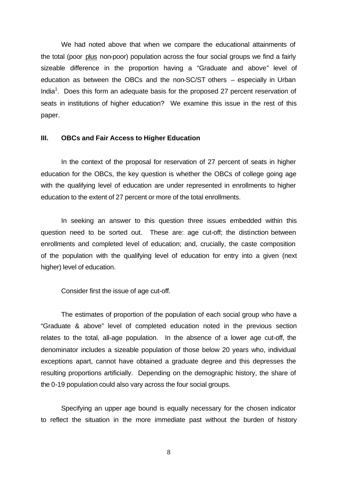We had noted above that when we compare the educational attainments of the total (poor plus non-poor) population across the four social groups we find a fairly sizeable difference in the proportion having a "Graduate and above" level of education as between the OBCs and the non-SC/ST others – especially in Urban India<sup>1</sup>. Does this form an adequate basis for the proposed 27 percent reservation of seats in institutions of higher education? We examine this issue in the rest of this paper.

### **III. OBCs and Fair Access to Higher Education**

In the context of the proposal for reservation of 27 percent of seats in higher education for the OBCs, the key question is whether the OBCs of college going age with the qualifying level of education are under represented in enrollments to higher education to the extent of 27 percent or more of the total enrollments.

In seeking an answer to this question three issues embedded within this question need to be sorted out. These are: age cut-off; the distinction between enrollments and completed level of education; and, crucially, the caste composition of the population with the qualifying level of education for entry into a given (next higher) level of education.

Consider first the issue of age cut-off.

The estimates of proportion of the population of each social group who have a "Graduate & above" level of completed education noted in the previous section relates to the total, all-age population. In the absence of a lower age cut-off, the denominator includes a sizeable population of those below 20 years who, individual exceptions apart, cannot have obtained a graduate degree and this depresses the resulting proportions artificially. Depending on the demographic history, the share of the 0-19 population could also vary across the four social groups.

Specifying an upper age bound is equally necessary for the chosen indicator to reflect the situation in the more immediate past without the burden of history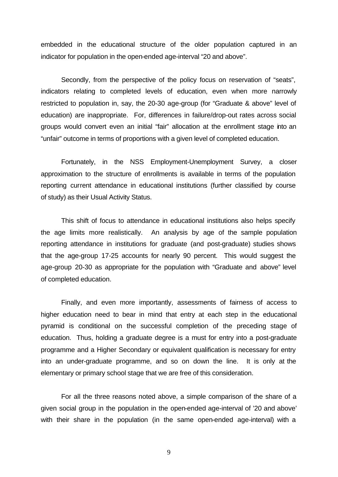embedded in the educational structure of the older population captured in an indicator for population in the open-ended age-interval "20 and above".

Secondly, from the perspective of the policy focus on reservation of "seats", indicators relating to completed levels of education, even when more narrowly restricted to population in, say, the 20-30 age-group (for "Graduate & above" level of education) are inappropriate. For, differences in failure/drop-out rates across social groups would convert even an initial "fair" allocation at the enrollment stage into an "unfair" outcome in terms of proportions with a given level of completed education.

Fortunately, in the NSS Employment-Unemployment Survey, a closer approximation to the structure of enrollments is available in terms of the population reporting current attendance in educational institutions (further classified by course of study) as their Usual Activity Status.

This shift of focus to attendance in educational institutions also helps specify the age limits more realistically. An analysis by age of the sample population reporting attendance in institutions for graduate (and post-graduate) studies shows that the age-group 17-25 accounts for nearly 90 percent. This would suggest the age-group 20-30 as appropriate for the population with "Graduate and above" level of completed education.

Finally, and even more importantly, assessments of fairness of access to higher education need to bear in mind that entry at each step in the educational pyramid is conditional on the successful completion of the preceding stage of education. Thus, holding a graduate degree is a must for entry into a post-graduate programme and a Higher Secondary or equivalent qualification is necessary for entry into an under-graduate programme, and so on down the line. It is only at the elementary or primary school stage that we are free of this consideration.

For all the three reasons noted above, a simple comparison of the share of a given social group in the population in the open-ended age-interval of '20 and above' with their share in the population (in the same open-ended age-interval) with a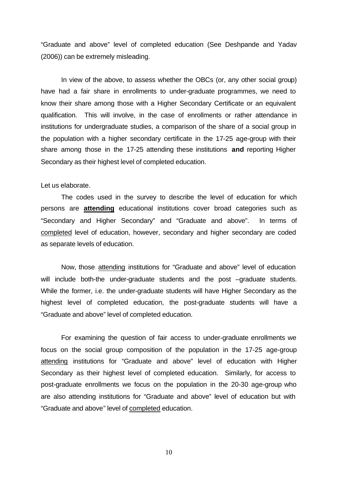"Graduate and above" level of completed education (See Deshpande and Yadav (2006)) can be extremely misleading.

In view of the above, to assess whether the OBCs (or, any other social group) have had a fair share in enrollments to under-graduate programmes, we need to know their share among those with a Higher Secondary Certificate or an equivalent qualification. This will involve, in the case of enrollments or rather attendance in institutions for undergraduate studies, a comparison of the share of a social group in the population with a higher secondary certificate in the 17-25 age-group with their share among those in the 17-25 attending these institutions **and** reporting Higher Secondary as their highest level of completed education.

### Let us elaborate.

The codes used in the survey to describe the level of education for which persons are **attending** educational institutions cover broad categories such as "Secondary and Higher Secondary" and "Graduate and above". In terms of completed level of education, however, secondary and higher secondary are coded as separate levels of education.

Now, those attending institutions for "Graduate and above" level of education will include both-the under-graduate students and the post -graduate students. While the former, i.e. the under-graduate students will have Higher Secondary as the highest level of completed education, the post-graduate students will have a "Graduate and above" level of completed education.

For examining the question of fair access to under-graduate enrollments we focus on the social group composition of the population in the 17-25 age-group attending institutions for "Graduate and above" level of education with Higher Secondary as their highest level of completed education. Similarly, for access to post-graduate enrollments we focus on the population in the 20-30 age-group who are also attending institutions for "Graduate and above" level of education but with "Graduate and above" level of completed education.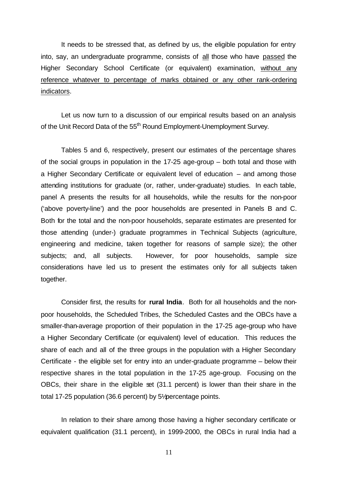It needs to be stressed that, as defined by us, the eligible population for entry into, say, an undergraduate programme, consists of all those who have passed the Higher Secondary School Certificate (or equivalent) examination, without any reference whatever to percentage of marks obtained or any other rank-ordering indicators.

Let us now turn to a discussion of our empirical results based on an analysis of the Unit Record Data of the 55<sup>th</sup> Round Employment-Unemployment Survey.

Tables 5 and 6, respectively, present our estimates of the percentage shares of the social groups in population in the 17-25 age-group – both total and those with a Higher Secondary Certificate or equivalent level of education – and among those attending institutions for graduate (or, rather, under-graduate) studies. In each table, panel A presents the results for all households, while the results for the non-poor ('above poverty-line') and the poor households are presented in Panels B and C. Both for the total and the non-poor households, separate estimates are presented for those attending (under-) graduate programmes in Technical Subjects (agriculture, engineering and medicine, taken together for reasons of sample size); the other subjects; and, all subjects. However, for poor households, sample size considerations have led us to present the estimates only for all subjects taken together.

Consider first, the results for **rural India**. Both for all households and the nonpoor households, the Scheduled Tribes, the Scheduled Castes and the OBCs have a smaller-than-average proportion of their population in the 17-25 age-group who have a Higher Secondary Certificate (or equivalent) level of education. This reduces the share of each and all of the three groups in the population with a Higher Secondary Certificate - the eligible set for entry into an under-graduate programme – below their respective shares in the total population in the 17-25 age-group. Focusing on the OBCs, their share in the eligible set (31.1 percent) is lower than their share in the total 17-25 population (36.6 percent) by 5½ percentage points.

In relation to their share among those having a higher secondary certificate or equivalent qualification (31.1 percent), in 1999-2000, the OBCs in rural India had a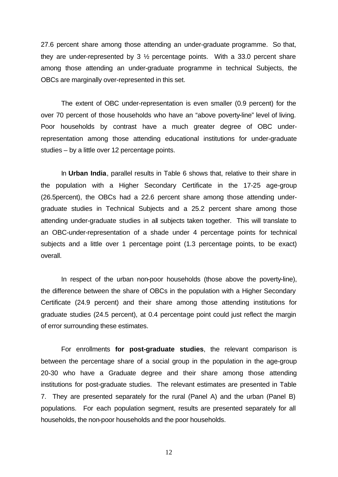27.6 percent share among those attending an under-graduate programme. So that, they are under-represented by 3 ½ percentage points. With a 33.0 percent share among those attending an under-graduate programme in technical Subjects, the OBCs are marginally over-represented in this set.

The extent of OBC under-representation is even smaller (0.9 percent) for the over 70 percent of those households who have an "above poverty-line" level of living. Poor households by contrast have a much greater degree of OBC underrepresentation among those attending educational institutions for under-graduate studies – by a little over 12 percentage points.

In **Urban India**, parallel results in Table 6 shows that, relative to their share in the population with a Higher Secondary Certificate in the 17-25 age-group (26.5percent), the OBCs had a 22.6 percent share among those attending undergraduate studies in Technical Subjects and a 25.2 percent share among those attending under-graduate studies in all subjects taken together. This will translate to an OBC-under-representation of a shade under 4 percentage points for technical subjects and a little over 1 percentage point (1.3 percentage points, to be exact) overall.

In respect of the urban non-poor households (those above the poverty-line), the difference between the share of OBCs in the population with a Higher Secondary Certificate (24.9 percent) and their share among those attending institutions for graduate studies (24.5 percent), at 0.4 percentage point could just reflect the margin of error surrounding these estimates.

For enrollments **for post-graduate studies**, the relevant comparison is between the percentage share of a social group in the population in the age-group 20-30 who have a Graduate degree and their share among those attending institutions for post-graduate studies. The relevant estimates are presented in Table 7. They are presented separately for the rural (Panel A) and the urban (Panel B) populations. For each population segment, results are presented separately for all households, the non-poor households and the poor households.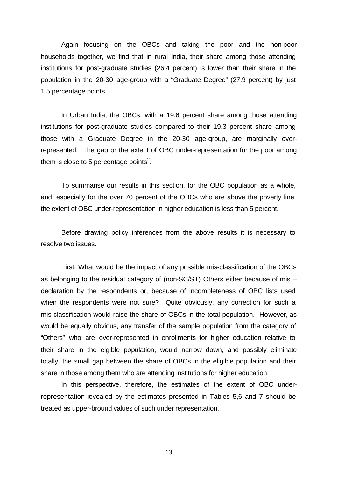Again focusing on the OBCs and taking the poor and the non-poor households together, we find that in rural India, their share among those attending institutions for post-graduate studies (26.4 percent) is lower than their share in the population in the 20-30 age-group with a "Graduate Degree" (27.9 percent) by just 1.5 percentage points.

In Urban India, the OBCs, with a 19.6 percent share among those attending institutions for post-graduate studies compared to their 19.3 percent share among those with a Graduate Degree in the 20-30 age-group, are marginally overrepresented. The gap or the extent of OBC under-representation for the poor among them is close to 5 percentage points<sup>2</sup>.

To summarise our results in this section, for the OBC population as a whole, and, especially for the over 70 percent of the OBCs who are above the poverty line, the extent of OBC under-representation in higher education is less than 5 percent.

Before drawing policy inferences from the above results it is necessary to resolve two issues.

First, What would be the impact of any possible mis-classification of the OBCs as belonging to the residual category of (non-SC/ST) Others either because of mis – declaration by the respondents or, because of incompleteness of OBC lists used when the respondents were not sure? Quite obviously, any correction for such a mis-classification would raise the share of OBCs in the total population. However, as would be equally obvious, any transfer of the sample population from the category of "Others" who are over-represented in enrollments for higher education relative to their share in the elgible population, would narrow down, and possibly eliminate totally, the small gap between the share of OBCs in the eligible population and their share in those among them who are attending institutions for higher education.

In this perspective, therefore, the estimates of the extent of OBC underrepresentation revealed by the estimates presented in Tables 5,6 and 7 should be treated as upper-bround values of such under representation.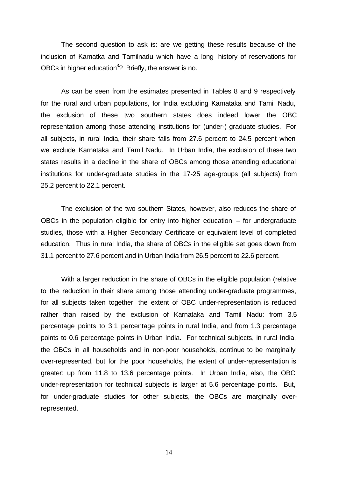The second question to ask is: are we getting these results because of the inclusion of Karnatka and Tamilnadu which have a long history of reservations for OBCs in higher education<sup>3</sup>? Briefly, the answer is no.

As can be seen from the estimates presented in Tables 8 and 9 respectively for the rural and urban populations, for India excluding Karnataka and Tamil Nadu, the exclusion of these two southern states does indeed lower the OBC representation among those attending institutions for (under-) graduate studies. For all subjects, in rural India, their share falls from 27.6 percent to 24.5 percent when we exclude Karnataka and Tamil Nadu. In Urban India, the exclusion of these two states results in a decline in the share of OBCs among those attending educational institutions for under-graduate studies in the 17-25 age-groups (all subjects) from 25.2 percent to 22.1 percent.

The exclusion of the two southern States, however, also reduces the share of OBCs in the population eligible for entry into higher education  $-$  for undergraduate studies, those with a Higher Secondary Certificate or equivalent level of completed education. Thus in rural India, the share of OBCs in the eligible set goes down from 31.1 percent to 27.6 percent and in Urban India from 26.5 percent to 22.6 percent.

With a larger reduction in the share of OBCs in the eligible population (relative to the reduction in their share among those attending under-graduate programmes, for all subjects taken together, the extent of OBC under-representation is reduced rather than raised by the exclusion of Karnataka and Tamil Nadu: from 3.5 percentage points to 3.1 percentage points in rural India, and from 1.3 percentage points to 0.6 percentage points in Urban India. For technical subjects, in rural India, the OBCs in all households and in non-poor households, continue to be marginally over-represented, but for the poor households, the extent of under-representation is greater: up from 11.8 to 13.6 percentage points. In Urban India, also, the OBC under-representation for technical subjects is larger at 5.6 percentage points. But, for under-graduate studies for other subjects, the OBCs are marginally overrepresented.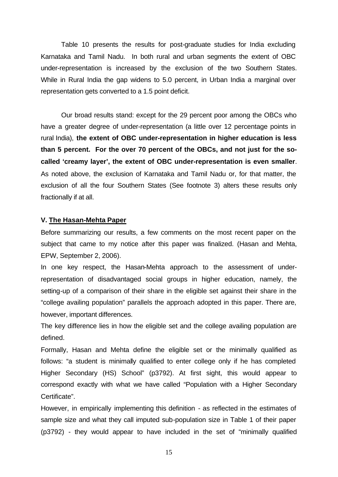Table 10 presents the results for post-graduate studies for India excluding Karnataka and Tamil Nadu. In both rural and urban segments the extent of OBC under-representation is increased by the exclusion of the two Southern States. While in Rural India the gap widens to 5.0 percent, in Urban India a marginal over representation gets converted to a 1.5 point deficit.

Our broad results stand: except for the 29 percent poor among the OBCs who have a greater degree of under-representation (a little over 12 percentage points in rural India), **the extent of OBC under-representation in higher education is less than 5 percent. For the over 70 percent of the OBCs, and not just for the socalled 'creamy layer', the extent of OBC under-representation is even smaller**. As noted above, the exclusion of Karnataka and Tamil Nadu or, for that matter, the exclusion of all the four Southern States (See footnote 3) alters these results only fractionally if at all.

#### **V. The Hasan-Mehta Paper**

Before summarizing our results, a few comments on the most recent paper on the subject that came to my notice after this paper was finalized. (Hasan and Mehta, EPW, September 2, 2006).

In one key respect, the Hasan-Mehta approach to the assessment of underrepresentation of disadvantaged social groups in higher education, namely, the setting-up of a comparison of their share in the eligible set against their share in the "college availing population" parallels the approach adopted in this paper. There are, however, important differences.

The key difference lies in how the eligible set and the college availing population are defined.

Formally, Hasan and Mehta define the eligible set or the minimally qualified as follows: "a student is minimally qualified to enter college only if he has completed Higher Secondary (HS) School" (p3792). At first sight, this would appear to correspond exactly with what we have called "Population with a Higher Secondary Certificate".

However, in empirically implementing this definition - as reflected in the estimates of sample size and what they call imputed sub-population size in Table 1 of their paper (p3792) - they would appear to have included in the set of "minimally qualified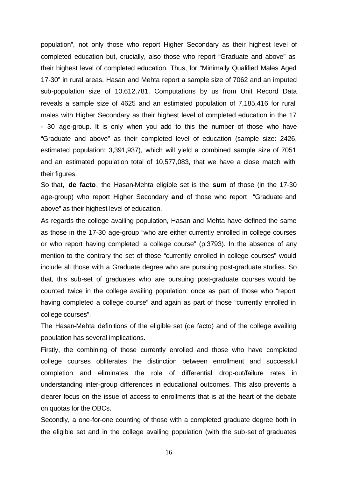population", not only those who report Higher Secondary as their highest level of completed education but, crucially, also those who report "Graduate and above" as their highest level of completed education. Thus, for "Minimally Qualified Males Aged 17-30" in rural areas, Hasan and Mehta report a sample size of 7062 and an imputed sub-population size of 10,612,781. Computations by us from Unit Record Data reveals a sample size of 4625 and an estimated population of 7,185,416 for rural males with Higher Secondary as their highest level of completed education in the 17 - 30 age-group. It is only when you add to this the number of those who have "Graduate and above" as their completed level of education (sample size: 2426, estimated population: 3,391,937), which will yield a combined sample size of 7051 and an estimated population total of 10,577,083, that we have a close match with their figures.

So that, **de facto**, the Hasan-Mehta eligible set is the **sum** of those (in the 17-30 age-group) who report Higher Secondary **and** of those who report "Graduate and above" as their highest level of education.

As regards the college availing population, Hasan and Mehta have defined the same as those in the 17-30 age-group "who are either currently enrolled in college courses or who report having completed a college course" (p.3793). In the absence of any mention to the contrary the set of those "currently enrolled in college courses" would include all those with a Graduate degree who are pursuing post-graduate studies. So that, this sub-set of graduates who are pursuing post-graduate courses would be counted twice in the college availing population: once as part of those who "report having completed a college course" and again as part of those "currently enrolled in college courses".

The Hasan-Mehta definitions of the eligible set (de facto) and of the college availing population has several implications.

Firstly, the combining of those currently enrolled and those who have completed college courses obliterates the distinction between enrollment and successful completion and eliminates the role of differential drop-out/failure rates in understanding inter-group differences in educational outcomes. This also prevents a clearer focus on the issue of access to enrollments that is at the heart of the debate on quotas for the OBCs.

Secondly, a one-for-one counting of those with a completed graduate degree both in the eligible set and in the college availing population (with the sub-set of graduates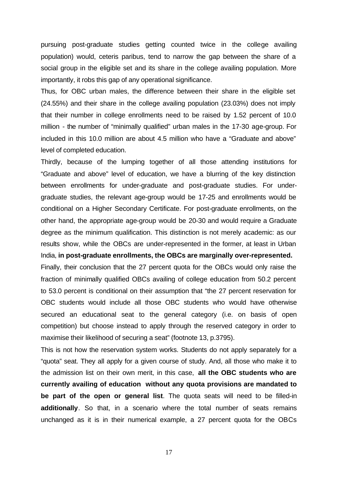pursuing post-graduate studies getting counted twice in the college availing population) would, ceteris paribus, tend to narrow the gap between the share of a social group in the eligible set and its share in the college availing population. More importantly, it robs this gap of any operational significance.

Thus, for OBC urban males, the difference between their share in the eligible set (24.55%) and their share in the college availing population (23.03%) does not imply that their number in college enrollments need to be raised by 1.52 percent of 10.0 million - the number of "minimally qualified" urban males in the 17-30 age-group. For included in this 10.0 million are about 4.5 million who have a "Graduate and above" level of completed education.

Thirdly, because of the lumping together of all those attending institutions for "Graduate and above" level of education, we have a blurring of the key distinction between enrollments for under-graduate and post-graduate studies. For undergraduate studies, the relevant age-group would be 17-25 and enrollments would be conditional on a Higher Secondary Certificate. For post-graduate enrollments, on the other hand, the appropriate age-group would be 20-30 and would require a Graduate degree as the minimum qualification. This distinction is not merely academic: as our results show, while the OBCs are under-represented in the former, at least in Urban India, **in post-graduate enrollments, the OBCs are marginally over-represented.**

Finally, their conclusion that the 27 percent quota for the OBCs would only raise the fraction of minimally qualified OBCs availing of college education from 50.2 percent to 53.0 percent is conditional on their assumption that "the 27 percent reservation for OBC students would include all those OBC students who would have otherwise secured an educational seat to the general category (i.e. on basis of open competition) but choose instead to apply through the reserved category in order to maximise their likelihood of securing a seat" (footnote 13, p.3795).

This is not how the reservation system works. Students do not apply separately for a "quota" seat. They all apply for a given course of study. And, all those who make it to the admission list on their own merit, in this case, **all the OBC students who are currently availing of education without any quota provisions are mandated to be part of the open or general list**. The quota seats will need to be filled-in **additionally**. So that, in a scenario where the total number of seats remains unchanged as it is in their numerical example, a 27 percent quota for the OBCs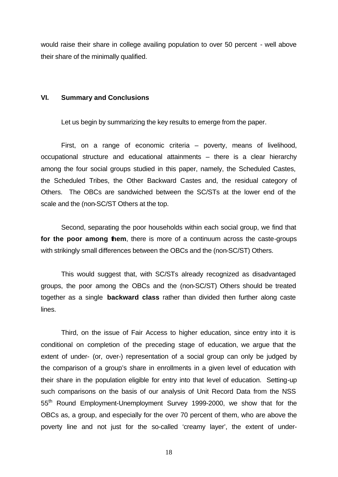would raise their share in college availing population to over 50 percent - well above their share of the minimally qualified.

### **VI. Summary and Conclusions**

Let us begin by summarizing the key results to emerge from the paper.

First, on a range of economic criteria – poverty, means of livelihood, occupational structure and educational attainments – there is a clear hierarchy among the four social groups studied in this paper, namely, the Scheduled Castes, the Scheduled Tribes, the Other Backward Castes and, the residual category of Others. The OBCs are sandwiched between the SC/STs at the lower end of the scale and the (non-SC/ST Others at the top.

Second, separating the poor households within each social group, we find that for the poor among them, there is more of a continuum across the caste-groups with strikingly small differences between the OBCs and the (non-SC/ST) Others.

This would suggest that, with SC/STs already recognized as disadvantaged groups, the poor among the OBCs and the (non-SC/ST) Others should be treated together as a single **backward class** rather than divided then further along caste lines.

Third, on the issue of Fair Access to higher education, since entry into it is conditional on completion of the preceding stage of education, we argue that the extent of under- (or, over-) representation of a social group can only be judged by the comparison of a group's share in enrollments in a given level of education with their share in the population eligible for entry into that level of education. Setting-up such comparisons on the basis of our analysis of Unit Record Data from the NSS 55<sup>th</sup> Round Employment-Unemployment Survey 1999-2000, we show that for the OBCs as, a group, and especially for the over 70 percent of them, who are above the poverty line and not just for the so-called 'creamy layer', the extent of under-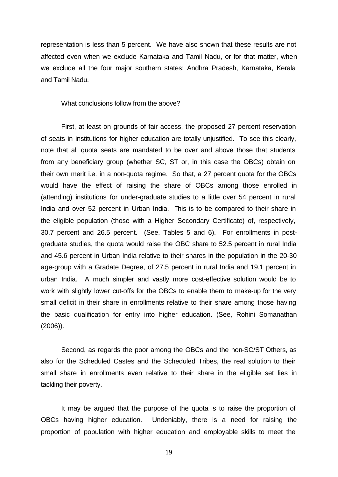representation is less than 5 percent. We have also shown that these results are not affected even when we exclude Karnataka and Tamil Nadu, or for that matter, when we exclude all the four major southern states: Andhra Pradesh, Karnataka, Kerala and Tamil Nadu.

What conclusions follow from the above?

First, at least on grounds of fair access, the proposed 27 percent reservation of seats in institutions for higher education are totally unjustified. To see this clearly, note that all quota seats are mandated to be over and above those that students from any beneficiary group (whether SC, ST or, in this case the OBCs) obtain on their own merit i.e. in a non-quota regime. So that, a 27 percent quota for the OBCs would have the effect of raising the share of OBCs among those enrolled in (attending) institutions for under-graduate studies to a little over 54 percent in rural India and over 52 percent in Urban India. This is to be compared to their share in the eligible population (those with a Higher Secondary Certificate) of, respectively, 30.7 percent and 26.5 percent. (See, Tables 5 and 6). For enrollments in postgraduate studies, the quota would raise the OBC share to 52.5 percent in rural India and 45.6 percent in Urban India relative to their shares in the population in the 20-30 age-group with a Gradate Degree, of 27.5 percent in rural India and 19.1 percent in urban India. A much simpler and vastly more cost-effective solution would be to work with slightly lower cut-offs for the OBCs to enable them to make-up for the very small deficit in their share in enrollments relative to their share among those having the basic qualification for entry into higher education. (See, Rohini Somanathan (2006)).

Second, as regards the poor among the OBCs and the non-SC/ST Others, as also for the Scheduled Castes and the Scheduled Tribes, the real solution to their small share in enrollments even relative to their share in the eligible set lies in tackling their poverty.

It may be argued that the purpose of the quota is to raise the proportion of OBCs having higher education. Undeniably, there is a need for raising the proportion of population with higher education and employable skills to meet the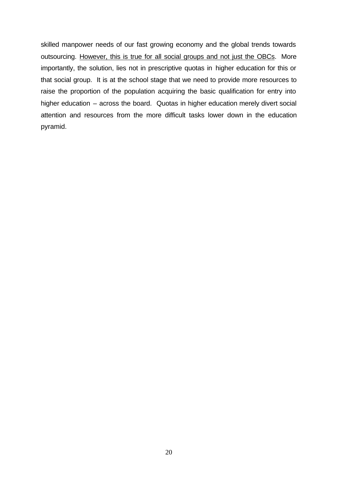skilled manpower needs of our fast growing economy and the global trends towards outsourcing. However, this is true for all social groups and not just the OBCs. More importantly, the solution, lies not in prescriptive quotas in higher education for this or that social group. It is at the school stage that we need to provide more resources to raise the proportion of the population acquiring the basic qualification for entry into higher education – across the board. Quotas in higher education merely divert social attention and resources from the more difficult tasks lower down in the education pyramid.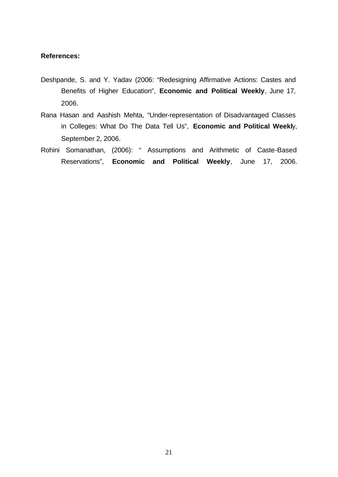### **References:**

- Deshpande, S. and Y. Yadav (2006: "Redesigning Affirmative Actions: Castes and Benefits of Higher Education", **Economic and Political Weekly**, June 17, 2006.
- Rana Hasan and Aashish Mehta, "Under-representation of Disadvantaged Classes in Colleges: What Do The Data Tell Us", **Economic and Political Weekl**y, September 2, 2006.
- Rohini Somanathan, (2006): " Assumptions and Arithmetic of Caste-Based Reservations", **Economic and Political Weekly**, June 17, 2006.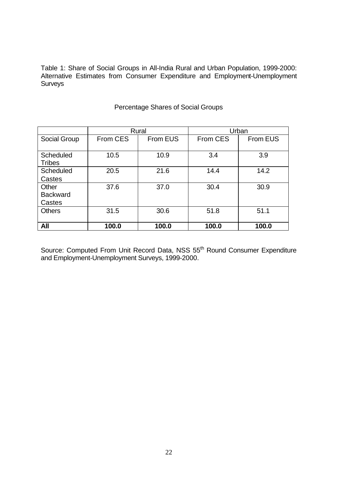Table 1: Share of Social Groups in All-India Rural and Urban Population, 1999-2000: Alternative Estimates from Consumer Expenditure and Employment-Unemployment Surveys

|                  |          | Rural    | Urban           |          |  |
|------------------|----------|----------|-----------------|----------|--|
| Social Group     | From CES | From EUS | <b>From CES</b> | From EUS |  |
|                  |          |          |                 |          |  |
| <b>Scheduled</b> | 10.5     | 10.9     | 3.4             | 3.9      |  |
| <b>Tribes</b>    |          |          |                 |          |  |
| <b>Scheduled</b> | 20.5     | 21.6     | 14.4            | 14.2     |  |
| Castes           |          |          |                 |          |  |
| Other            | 37.6     | 37.0     | 30.4            | 30.9     |  |
| <b>Backward</b>  |          |          |                 |          |  |
| Castes           |          |          |                 |          |  |
| <b>Others</b>    | 31.5     | 30.6     | 51.8            | 51.1     |  |
|                  |          |          |                 |          |  |
| All              | 100.0    | 100.0    | 100.0           | 100.0    |  |

### Percentage Shares of Social Groups

Source: Computed From Unit Record Data, NSS 55<sup>th</sup> Round Consumer Expenditure and Employment-Unemployment Surveys, 1999-2000.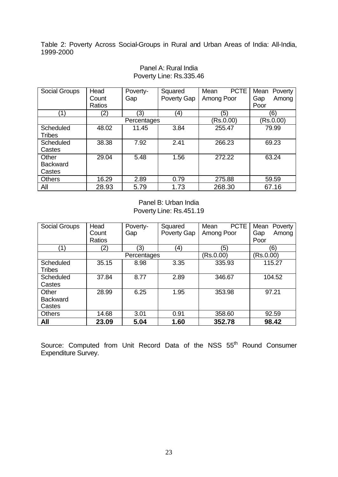Table 2: Poverty Across Social-Groups in Rural and Urban Areas of India: All-India, 1999-2000

| Social Groups   | Head   | Poverty-    | Squared     | <b>PCTE</b><br>Mean | Mean<br>Poverty |
|-----------------|--------|-------------|-------------|---------------------|-----------------|
|                 | Count  | Gap         | Poverty Gap | Among Poor          | Gap<br>Among    |
|                 | Ratios |             |             |                     | Poor            |
| (1)             | (2)    | (3)         | (4)         | (5)                 | (6)             |
|                 |        | Percentages |             | (Rs.0.00)           | (Rs.0.00)       |
| Scheduled       | 48.02  | 11.45       | 3.84        | 255.47              | 79.99           |
| Tribes          |        |             |             |                     |                 |
| Scheduled       | 38.38  | 7.92        | 2.41        | 266.23              | 69.23           |
| Castes          |        |             |             |                     |                 |
| Other           | 29.04  | 5.48        | 1.56        | 272.22              | 63.24           |
| <b>Backward</b> |        |             |             |                     |                 |
| Castes          |        |             |             |                     |                 |
| <b>Others</b>   | 16.29  | 2.89        | 0.79        | 275.88              | 59.59           |
| All             | 28.93  | 5.79        | 1.73        | 268.30              | 67.16           |

### Panel A: Rural India Poverty Line: Rs.335.46

Panel B: Urban India Poverty Line: Rs.451.19

| Social Groups                      | Head<br>Count | Poverty-<br>Gap | Squared<br>Poverty Gap | <b>PCTE</b><br>Mean<br>Among Poor | Mean<br>Poverty<br>Among<br>Gap |
|------------------------------------|---------------|-----------------|------------------------|-----------------------------------|---------------------------------|
|                                    | Ratios        |                 |                        |                                   | Poor                            |
| 1)                                 | (2)           | (3)             | (4)                    | (5)                               | (6)                             |
|                                    |               | Percentages     |                        | (Rs.0.00)                         | (Rs.0.00)                       |
| Scheduled<br><b>Tribes</b>         | 35.15         | 8.98            | 3.35                   | 335.93                            | 115.27                          |
| <b>Scheduled</b><br>Castes         | 37.84         | 8.77            | 2.89                   | 346.67                            | 104.52                          |
| Other<br><b>Backward</b><br>Castes | 28.99         | 6.25            | 1.95                   | 353.98                            | 97.21                           |
| <b>Others</b>                      | 14.68         | 3.01            | 0.91                   | 358.60                            | 92.59                           |
| All                                | 23.09         | 5.04            | 1.60                   | 352.78                            | 98.42                           |

Source: Computed from Unit Record Data of the NSS 55<sup>th</sup> Round Consumer Expenditure Survey.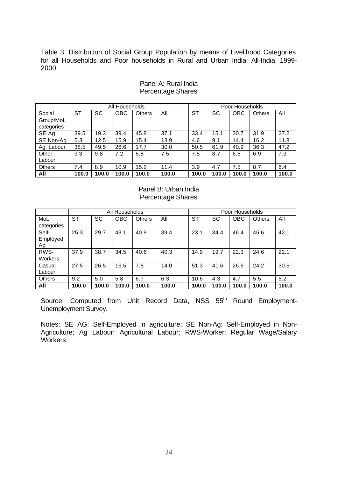Table 3: Distribution of Social Group Population by means of Livelihood Categories for all Households and Poor households in Rural and Urban India: All-India, 1999- 2000

|               |           | All Households |            |               |       | Poor Households |           |            |               |       |
|---------------|-----------|----------------|------------|---------------|-------|-----------------|-----------|------------|---------------|-------|
| Social        | <b>ST</b> | <b>SC</b>      | <b>OBC</b> | <b>Others</b> | All   | ST              | <b>SC</b> | <b>OBC</b> | <b>Others</b> | All   |
| Group/MoL     |           |                |            |               |       |                 |           |            |               |       |
| categories    |           |                |            |               |       |                 |           |            |               |       |
| SE Ag         | 39.5      | 19.3           | 39.4       | 45.8          | 37.1  | 33.4            | 15.1      | 30.7       | 31.9          | 27.2  |
| SE Non-Ag     | 5.3       | 12.5           | 15.9       | 15.4          | 13.9  | 4.6             | 9.1       | 14.4       | 16.2          | 11.8  |
| Ag. Labour    | 38.5      | 49.5           | 26.6       | 17.7          | 30.0  | 50.5            | 61.9      | 40.9       | 36.3          | 47.2  |
| Other         | 9.3       | 9.8            | 7.2        | 5.8           | 7.5   | 7.5             | 8.7       | 6.5        | 6.9           | 7.3   |
| Labour        |           |                |            |               |       |                 |           |            |               |       |
| <b>Others</b> | 7.4       | 8.9            | 10.9       | 15.2          | 11.4  | 3.9             | 4.7       | 7.5        | 8.7           | 6.4   |
| All           | 100.0     | 100.0          | 100.0      | 100.0         | 100.0 | 100.0           | 100.0     | 100.0      | 100.0         | 100.0 |

### Panel A: Rural India Percentage Shares

Panel B: Urban India Percentage Shares

|               | All Households |           |            |               |       | Poor Households |       |            |               |       |
|---------------|----------------|-----------|------------|---------------|-------|-----------------|-------|------------|---------------|-------|
| MoL           | <b>ST</b>      | <b>SC</b> | <b>OBC</b> | <b>Others</b> | All   | <b>ST</b>       | SC    | <b>OBC</b> | <b>Others</b> | All   |
| categories    |                |           |            |               |       |                 |       |            |               |       |
| Self-         | 25.3           | 29.7      | 43.1       | 40.9          | 39.4  | 23.1            | 34.4  | 46.4       | 45.6          | 42.1  |
| Employed      |                |           |            |               |       |                 |       |            |               |       |
| Ag            |                |           |            |               |       |                 |       |            |               |       |
| RWS-          | 37.9           | 38.7      | 34.5       | 40.6          | 40.3  | 14.9            | 19.7  | 22.3       | 24.6          | 22.1  |
| Workers       |                |           |            |               |       |                 |       |            |               |       |
| Casual        | 27.5           | 26.5      | 16.5       | 7.8           | 14.0  | 51.3            | 41.6  | 26.6       | 24.2          | 30.5  |
| Labour        |                |           |            |               |       |                 |       |            |               |       |
| <b>Others</b> | 9.2            | 5.0       | 5.8        | 6.7           | 6.3   | 10.6            | 4.3   | 4.7        | 5.5           | 5.2   |
| All           | 100.0          | 100.0     | 100.0      | 100.0         | 100.0 | 100.0           | 100.0 | 100.0      | 100.0         | 100.0 |

Source: Computed from Unit Record Data, NSS 55<sup>th</sup> Round Employment-Unemployment Survey.

Notes: SE AG: Self-Employed in agriculture; SE Non-Ag: Self-Employed in Non-Agriculture; Ag Labour: Agricultural Labour; RWS-Worker: Regular Wage/Salary **Workers**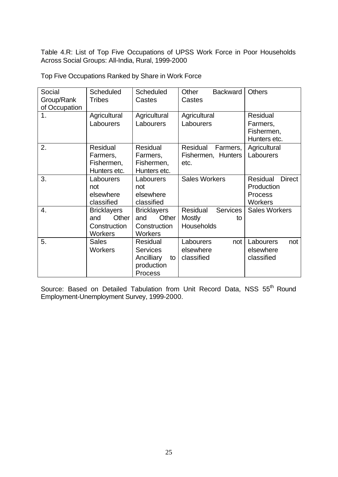Table 4.R: List of Top Five Occupations of UPSS Work Force in Poor Households Across Social Groups: All-India, Rural, 1999-2000

| Social        | <b>Scheduled</b>   | <b>Scheduled</b>   | Other<br><b>Backward</b>           | <b>Others</b>             |
|---------------|--------------------|--------------------|------------------------------------|---------------------------|
| Group/Rank    | <b>Tribes</b>      | Castes             | Castes                             |                           |
| of Occupation |                    |                    |                                    |                           |
| 1.            | Agricultural       | Agricultural       | Agricultural                       | Residual                  |
|               | Labourers          | Labourers          | Labourers                          | Farmers,                  |
|               |                    |                    |                                    | Fishermen,                |
|               |                    |                    |                                    | Hunters etc.              |
| 2.            | Residual           | Residual           | Residual<br>Farmers,               | Agricultural              |
|               | Farmers,           | Farmers,           | Fishermen, Hunters                 | Labourers                 |
|               | Fishermen,         | Fishermen,         | etc.                               |                           |
|               | Hunters etc.       | Hunters etc.       |                                    |                           |
| 3.            | Labourers          | Labourers          | <b>Sales Workers</b>               | Residual<br><b>Direct</b> |
|               | not                | not                |                                    | Production                |
|               | elsewhere          | elsewhere          |                                    | <b>Process</b>            |
|               | classified         | classified         |                                    | <b>Workers</b>            |
| 4.            | <b>Bricklayers</b> | <b>Bricklayers</b> | <b>Services</b><br><b>Residual</b> | <b>Sales Workers</b>      |
|               | Other<br>and       | Other<br>and       | <b>Mostly</b><br>to                |                           |
|               | Construction       | Construction       | Households                         |                           |
|               | <b>Workers</b>     | <b>Workers</b>     |                                    |                           |
| 5.            | <b>Sales</b>       | Residual           | Labourers<br>not                   | Labourers<br>not          |
|               | <b>Workers</b>     | <b>Services</b>    | elsewhere                          | elsewhere                 |
|               |                    | Ancilliary<br>to   | classified                         | classified                |
|               |                    | production         |                                    |                           |
|               |                    | Process            |                                    |                           |

Top Five Occupations Ranked by Share in Work Force

Source: Based on Detailed Tabulation from Unit Record Data, NSS 55<sup>th</sup> Round Employment-Unemployment Survey, 1999-2000.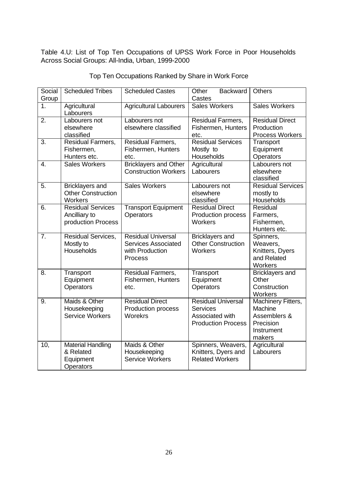Table 4.U: List of Top Ten Occupations of UPSS Work Force in Poor Households Across Social Groups: All-India, Urban, 1999-2000

| Social<br>Group  | <b>Scheduled Tribes</b>                                         | <b>Scheduled Castes</b>                                                               | <b>Backward</b><br>Other<br>Castes                                                           | <b>Others</b>                                                                             |
|------------------|-----------------------------------------------------------------|---------------------------------------------------------------------------------------|----------------------------------------------------------------------------------------------|-------------------------------------------------------------------------------------------|
| 1.               | Agricultural<br>Labourers                                       | <b>Agricultural Labourers</b>                                                         | <b>Sales Workers</b>                                                                         | <b>Sales Workers</b>                                                                      |
| 2.               | Labourers not<br>elsewhere<br>classified                        | Labourers not<br>elsewhere classified                                                 | Residual Farmers,<br>Fishermen, Hunters<br>etc.                                              | <b>Residual Direct</b><br>Production<br><b>Process Workers</b>                            |
| $\overline{3}$ . | Residual Farmers,<br>Fishermen,<br>Hunters etc.                 | Residual Farmers,<br>Fishermen, Hunters<br>etc.                                       | <b>Residual Services</b><br>Mostly to<br>Households                                          | Transport<br>Equipment<br>Operators                                                       |
| $\overline{4}$ . | <b>Sales Workers</b>                                            | <b>Bricklayers and Other</b><br><b>Construction Workers</b>                           | Agricultural<br>Labourers                                                                    | Labourers not<br>elsewhere<br>classified                                                  |
| $\overline{5}$ . | <b>Bricklayers and</b><br><b>Other Construction</b><br>Workers  | <b>Sales Workers</b>                                                                  | Labourers not<br>elsewhere<br>classified                                                     | <b>Residual Services</b><br>mostly to<br>Households                                       |
| 6.               | <b>Residual Services</b><br>Ancilliary to<br>production Process | <b>Transport Equipment</b><br><b>Operators</b>                                        | <b>Residual Direct</b><br>Production process<br>Workers                                      | Residual<br>Farmers,<br>Fishermen,<br>Hunters etc.                                        |
| $\overline{7}$ . | <b>Residual Services,</b><br>Mostly to<br>Households            | <b>Residual Universal</b><br><b>Services Associated</b><br>with Production<br>Process | <b>Bricklayers and</b><br><b>Other Construction</b><br>Workers                               | Spinners,<br>Weavers,<br>Knitters, Dyers<br>and Related<br>Workers                        |
| 8.               | Transport<br>Equipment<br>Operators                             | <b>Residual Farmers,</b><br>Fishermen, Hunters<br>etc.                                | Transport<br>Equipment<br>Operators                                                          | <b>Bricklayers and</b><br>Other<br>Construction<br>Workers                                |
| 9.               | Maids & Other<br>Housekeeping<br><b>Service Workers</b>         | <b>Residual Direct</b><br>Production process<br>Worekrs                               | <b>Residual Universal</b><br><b>Services</b><br>Associated with<br><b>Production Process</b> | <b>Machinery Fitters,</b><br>Machine<br>Assemblers &<br>Precision<br>Instrument<br>makers |
| 10,              | <b>Material Handling</b><br>& Related<br>Equipment<br>Operators | Maids & Other<br>Housekeeping<br><b>Service Workers</b>                               | Spinners, Weavers,<br>Knitters, Dyers and<br><b>Related Workers</b>                          | Agricultural<br>Labourers                                                                 |

### Top Ten Occupations Ranked by Share in Work Force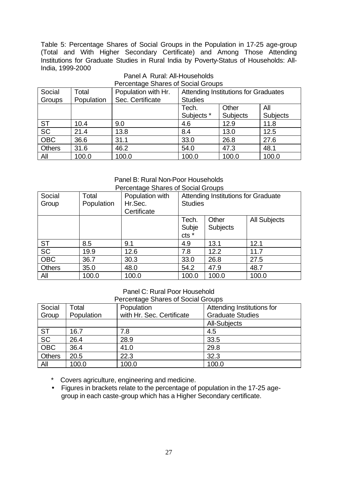Table 5: Percentage Shares of Social Groups in the Population in 17-25 age-group (Total and With Higher Secondary Certificate) and Among Those Attending Institutions for Graduate Studies in Rural India by Poverty-Status of Households: All-India, 1999-2000

|               | Percentage Shares of Social Groups |                     |                |                                      |                 |  |  |  |
|---------------|------------------------------------|---------------------|----------------|--------------------------------------|-----------------|--|--|--|
| Social        | Total                              | Population with Hr. |                | Attending Institutions for Graduates |                 |  |  |  |
| Groups        | Population                         | Sec. Certificate    | <b>Studies</b> |                                      |                 |  |  |  |
|               |                                    |                     | Tech.          | Other                                | All             |  |  |  |
|               |                                    |                     | Subjects *     | <b>Subjects</b>                      | <b>Subjects</b> |  |  |  |
| <b>ST</b>     | 10.4                               | 9.0                 | 4.6            | 12.9                                 | 11.8            |  |  |  |
| <b>SC</b>     | 21.4                               | 13.8                | 8.4            | 13.0                                 | 12.5            |  |  |  |
| <b>OBC</b>    | 36.6                               | 31.1                | 33.0           | 26.8                                 | 27.6            |  |  |  |
| <b>Others</b> | 31.6                               | 46.2                | 54.0           | 47.3                                 | 48.1            |  |  |  |
| All           | 100.0                              | 100.0               | 100.0          | 100.0                                | 100.0           |  |  |  |

### Panel A Rural: All-Households  $P_{\text{e}}$

#### Panel B: Rural Non-Poor Households Percentage Shares of Social Groups

|               | Percentage Shares of Social Groups |                 |                |                                     |                     |  |  |
|---------------|------------------------------------|-----------------|----------------|-------------------------------------|---------------------|--|--|
| Social        | Total                              | Population with |                | Attending Institutions for Graduate |                     |  |  |
| Group         | Population                         | Hr.Sec.         | <b>Studies</b> |                                     |                     |  |  |
|               |                                    | Certificate     |                |                                     |                     |  |  |
|               |                                    |                 | Tech.          | Other                               | <b>All Subjects</b> |  |  |
|               |                                    |                 | Subje          | <b>Subjects</b>                     |                     |  |  |
|               |                                    |                 | cts *          |                                     |                     |  |  |
| <b>ST</b>     | 8.5                                | 9.1             | 4.9            | 13.1                                | 12.1                |  |  |
| SC            | 19.9                               | 12.6            | 7.8            | 12.2                                | 11.7                |  |  |
| <b>OBC</b>    | 36.7                               | 30.3            | 33.0           | 26.8                                | 27.5                |  |  |
| <b>Others</b> | 35.0                               | 48.0            | 54.2           | 47.9                                | 48.7                |  |  |
| All           | 100.0                              | 100.0           | 100.0          | 100.0                               | 100.0               |  |  |

### Panel C: Rural Poor Household

Percentage Shares of Social Groups

| Social                          | Total      | Population                | Attending Institutions for |
|---------------------------------|------------|---------------------------|----------------------------|
| Group                           | Population | with Hr. Sec. Certificate | <b>Graduate Studies</b>    |
|                                 |            |                           | <b>All-Subjects</b>        |
|                                 | 16.7       | 7.8                       | 4.5                        |
| $rac{\mathsf{ST}}{\mathsf{SC}}$ | 26.4       | 28.9                      | 33.5                       |
| OBC                             | 36.4       | 41.0                      | 29.8                       |
| <b>Others</b>                   | 20.5       | 22.3                      | 32.3                       |
| All                             | 100.0      | 100.0                     | 100.0                      |

\* Covers agriculture, engineering and medicine.

• Figures in brackets relate to the percentage of population in the 17-25 agegroup in each caste-group which has a Higher Secondary certificate.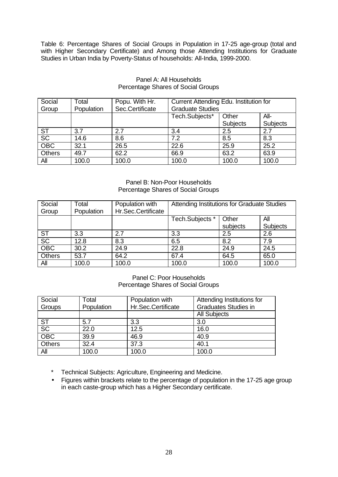Table 6: Percentage Shares of Social Groups in Population in 17-25 age-group (total and with Higher Secondary Certificate) and Among those Attending Institutions for Graduate Studies in Urban India by Poverty-Status of households: All-India, 1999-2000.

| Social                                 | Total      | Popu. With Hr.  | Current Attending Edu. Institution for |          |          |  |
|----------------------------------------|------------|-----------------|----------------------------------------|----------|----------|--|
| Group                                  | Population | Sec.Certificate | <b>Graduate Studies</b>                |          |          |  |
|                                        |            |                 | Tech.Subjects*                         | Other    | $All-$   |  |
|                                        |            |                 |                                        | Subjects | Subjects |  |
| $rac{\overline{\text{ST}}}{\text{SC}}$ | 3.7        | 2.7             | 3.4                                    | 2.5      | 2.7      |  |
|                                        | 14.6       | 8.6             | 7.2                                    | 8.5      | 8.3      |  |
| OBC                                    | 32.1       | 26.5            | 22.6                                   | 25.9     | 25.2     |  |
| Others                                 | 49.7       | 62.2            | 66.9                                   | 63.2     | 63.9     |  |
| All                                    | 100.0      | 100.0           | 100.0                                  | 100.0    | 100.0    |  |

### Panel A: All Households Percentage Shares of Social Groups

### Panel B: Non-Poor Households Percentage Shares of Social Groups

| Social        | Total      | Population with    | Attending Institutions for Graduate Studies |          |          |  |  |
|---------------|------------|--------------------|---------------------------------------------|----------|----------|--|--|
| Group         | Population | Hr.Sec.Certificate |                                             |          |          |  |  |
|               |            |                    | Tech.Subjects *                             | Other    | All      |  |  |
|               |            |                    |                                             | subjects | Subjects |  |  |
| <b>ST</b>     | 3.3        | 2.7                | 3.3                                         | 2.5      | 2.6      |  |  |
| SC            | 12.8       | 8.3                | 6.5                                         | 8.2      | 7.9      |  |  |
| <b>OBC</b>    | 30.2       | 24.9               | 22.8                                        | 24.9     | 24.5     |  |  |
| <b>Others</b> | 53.7       | 64.2               | 67.4                                        | 64.5     | 65.0     |  |  |
| All           | 100.0      | 100.0              | 100.0                                       | 100.0    | 100.0    |  |  |

Panel C: Poor Households Percentage Shares of Social Groups

| Social                          | Total      | Population with    | Attending Institutions for  |
|---------------------------------|------------|--------------------|-----------------------------|
| Groups                          | Population | Hr.Sec.Certificate | <b>Graduates Studies in</b> |
|                                 |            |                    | <b>All Subjects</b>         |
|                                 | 5.7        | 3.3                | 3.0                         |
| $rac{\mathsf{ST}}{\mathsf{SC}}$ | 22.0       | 12.5               | 16.0                        |
| <b>OBC</b>                      | 39.9       | 46.9               | 40.9                        |
| <b>Others</b>                   | 32.4       | 37.3               | 40.1                        |
| All                             | 100.0      | 100.0              | 100.0                       |

\* Technical Subjects: Agriculture, Engineering and Medicine.

• Figures within brackets relate to the percentage of population in the 17-25 age group in each caste-group which has a Higher Secondary certificate.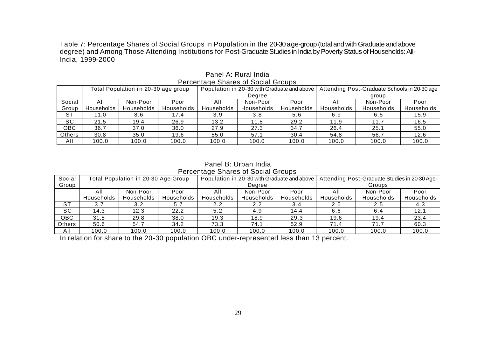Table 7: Percentage Shares of Social Groups in Population in the 20-30 age-group (total and with Graduate and above degree) and Among Those Attending Institutions for Post-Graduate Studies in India by Poverty Status of Households: All-India, 1999-2000

|               | Total Population in 20-30 age group |            |            | Population in 20-30 with Graduate and above |            |            | Attending Post-Graduate Schools in 20-30 age |            |            |
|---------------|-------------------------------------|------------|------------|---------------------------------------------|------------|------------|----------------------------------------------|------------|------------|
|               |                                     |            |            | Degree                                      |            |            | group                                        |            |            |
| Social        | All                                 | Non-Poor   | Poor       | All                                         | Non-Poor   | Poor       | All                                          | Non-Poor   | Poor       |
| Group         | Households                          | Households | Households | Households                                  | Households | Households | Households                                   | Households | Households |
| <b>ST</b>     | 11.0                                | 8.6        | 17.4       | 3.9                                         | 3.8        | 5.6        | 6.9                                          | 6.5        | 15.9       |
| SC            | 21.5                                | 19.4       | 26.9       | 13.2                                        | 11.8       | 29.2       | 11.9                                         | 11.7       | 16.5       |
| OBC           | 36.7                                | 37.0       | 36.0       | 27.9                                        | 27.3       | 34.7       | 26.4                                         | 25.1       | 55.0       |
| <b>Others</b> | 30.8                                | 35.0       | 19.6       | 55.0                                        | 57.1       | 30.4       | 54.8                                         | 56.7       | 12.6       |
| All           | 100.0                               | 100.0      | 100.0      | 100.0                                       | 100.0      | 100.0      | 100.0                                        | 100.0      | 100.0      |

Panel A: Rural India Percentage Shares of Social Groups

### Panel B: Urban India Percentage Shares of Social Groups

| Social    | Total Population in 20-30 Age-Group |            |            |            |            |            | Population in 20-30 with Graduate and above   Attending Post-Graduate Studies in 20-30 Age- |            |            |
|-----------|-------------------------------------|------------|------------|------------|------------|------------|---------------------------------------------------------------------------------------------|------------|------------|
| Group     |                                     |            |            | Degree     |            |            | Groups                                                                                      |            |            |
|           | All                                 | Non-Poor   | Poor       | All        | Non-Poor   | Poor       | All                                                                                         | Non-Poor   | Poor       |
|           | Households                          | Households | Households | Households | Households | Households | Households                                                                                  | Households | Households |
| <b>ST</b> | 3.7                                 | 3.2        | 5.7        | 2.2        | 2.2        | 3.4        | 2.5                                                                                         | 2.5        | 4.3        |
| SC        | 14.3                                | 12.3       | 22.2       | 5.2        | 4.9        | 14.4       | 6.6                                                                                         | 6.4        | 12.1       |
| OBC       | 31.5                                | 29.8       | 38.0       | 19.3       | 18.9       | 29.3       | 19.6                                                                                        | 19.4       | 23.4       |
| Others    | 50.6                                | 54.7       | 34.2       | 73.3       | 74.1       | 52.9       | 71.4                                                                                        | 71.7       | 60.3       |
| AII       | 100.0                               | 100.0      | 100.0      | 100.0      | 100.0      | 100.0      | 100.0                                                                                       | 100.0      | 100.0      |

In relation for share to the 20-30 population OBC under-represented less than 13 percent.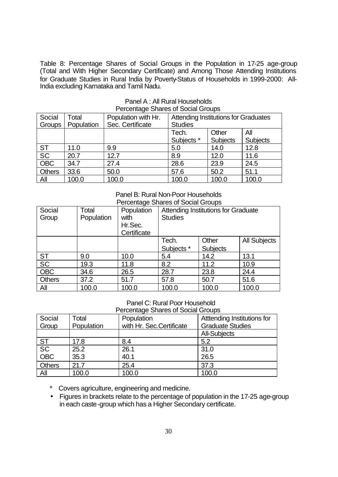Table 8: Percentage Shares of Social Groups in the Population in 17-25 age-group (Total and With Higher Secondary Certificate) and Among Those Attending Institutions for Graduate Studies in Rural India by Poverty-Status of Households in 1999-2000: All-India excluding Karnataka and Tamil Nadu.

| Social<br>Groups | Total<br>Population | Population with Hr.<br>Sec. Certificate | <b>Attending Institutions for Graduates</b><br><b>Studies</b> |                          |                        |  |
|------------------|---------------------|-----------------------------------------|---------------------------------------------------------------|--------------------------|------------------------|--|
|                  |                     |                                         | Tech.<br>Subjects *                                           | Other<br><b>Subjects</b> | All<br><b>Subjects</b> |  |
| <b>ST</b>        | 11.0                | 9.9                                     | 5.0                                                           | 14.0                     | 12.8                   |  |
| <b>SC</b>        | 20.7                | 12.7                                    | 8.9                                                           | 12.0                     | 11.6                   |  |
| <b>OBC</b>       | 34.7                | 27.4                                    | 28.6                                                          | 23.9                     | 24.5                   |  |
| <b>Others</b>    | 33.6                | 50.0                                    | 57.6                                                          | 50.2                     | 51.1                   |  |
| All              | 100.0               | 100.0                                   | 100.0                                                         | 100.0                    | 100.0                  |  |

### Panel A : All Rural Households Percentage Shares of Social Groups

#### Panel B: Rural Non-Poor Households Percentage Shares of Social Groups

| Social<br>Group | Total<br>Population | Population<br>with<br>Hr.Sec.<br>Certificate | <b>Attending Institutions for Graduate</b><br><b>Studies</b> |                          |                     |  |
|-----------------|---------------------|----------------------------------------------|--------------------------------------------------------------|--------------------------|---------------------|--|
|                 |                     |                                              | Tech.<br>Subjects *                                          | Other<br><b>Subjects</b> | <b>All Subjects</b> |  |
|                 |                     |                                              |                                                              |                          |                     |  |
| <b>ST</b>       | 9.0                 | 10.0                                         | 5.4                                                          | 14.2                     | 13.1                |  |
| SC              | 19.3                | 11.8                                         | 8.2                                                          | 11.2                     | 10.9                |  |
| <b>OBC</b>      | 34.6                | 26.5                                         | 28.7                                                         | 23.8                     | 24.4                |  |
| <b>Others</b>   | 37.2                | 51.7                                         | 57.8                                                         | 50.7                     | 51.6                |  |
| <b>All</b>      | 100.0               | 100.0                                        | 100.0                                                        | 100.0                    | 100.0               |  |

### Panel C: Rural Poor Household

| Percentage Shares of Social Groups |  |
|------------------------------------|--|
|                                    |  |

| Social                                                                                           | Total      | Population                | Atttending Institutions for |
|--------------------------------------------------------------------------------------------------|------------|---------------------------|-----------------------------|
| Group                                                                                            | Population | with Hr. Sec. Certificate | <b>Graduate Studies</b>     |
|                                                                                                  |            |                           | <b>All-Subjects</b>         |
|                                                                                                  | 17.8       | 8.4                       | 5.2                         |
| $\begin{array}{c} \begin{array}{c} \text{ST} \\ \text{SC} \\ \text{OBC} \end{array} \end{array}$ | 25.2       | 26.1                      | 31.0                        |
|                                                                                                  | 35.3       | 40.1                      | 26.5                        |
| <b>Others</b>                                                                                    | 21.7       | 25.4                      | 37.3                        |
| <b>All</b>                                                                                       | 100.0      | 100.0                     | 100.0                       |

\* Covers agriculture, engineering and medicine.

• Figures in brackets relate to the percentage of population in the 17-25 age-group in each caste-group which has a Higher Secondary certificate.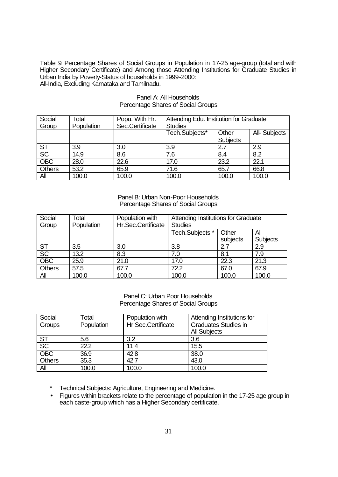Table 9: Percentage Shares of Social Groups in Population in 17-25 age-group (total and with Higher Secondary Certificate) and Among those Attending Institutions for Graduate Studies in Urban India by Poverty-Status of households in 1999-2000: All-India, Excluding Karnataka and Tamilnadu.

| Social                          | Total      | Popu. With Hr.  | Attending Edu. Institution for Graduate |                 |               |  |  |
|---------------------------------|------------|-----------------|-----------------------------------------|-----------------|---------------|--|--|
| Group                           | Population | Sec.Certificate | <b>Studies</b>                          |                 |               |  |  |
|                                 |            |                 | Tech.Subjects*                          | Other           | All- Subjects |  |  |
|                                 |            |                 |                                         | <b>Subjects</b> |               |  |  |
| $rac{\mathsf{ST}}{\mathsf{SC}}$ | 3.9        | 3.0             | 3.9                                     | 2.7             | 2.9           |  |  |
|                                 | 14.9       | 8.6             | 7.6                                     | 8.4             | 8.2           |  |  |
| OBC                             | 28.0       | 22.6            | 17.0                                    | 23.2            | 22.1          |  |  |
| <b>Others</b>                   | 53.2       | 65.9            | 71.6                                    | 65.7            | 66.8          |  |  |
| All                             | 100.0      | 100.0           | 100.0                                   | 100.0           | 100.0         |  |  |

### Panel A: All Households Percentage Shares of Social Groups

Panel B: Urban Non-Poor Households Percentage Shares of Social Groups

| Social<br>Group | Total<br>Population | Population with<br>Hr.Sec.Certificate | Attending Institutions for Graduate<br><b>Studies</b> |                   |                        |  |
|-----------------|---------------------|---------------------------------------|-------------------------------------------------------|-------------------|------------------------|--|
|                 |                     |                                       | Tech.Subjects *                                       | Other<br>subjects | All<br><b>Subjects</b> |  |
| <b>ST</b>       | 3.5                 | 3.0                                   | 3.8                                                   | 2.7               | 2.9                    |  |
| $\overline{SC}$ | 13.2                | 8.3                                   | 7.0                                                   | 8.1               | 7.9                    |  |
| <b>OBC</b>      | 25.9                | 21.0                                  | 17.0                                                  | 22.3              | 21.3                   |  |
| Others          | 57.5                | 67.7                                  | 72.2                                                  | 67.0              | 67.9                   |  |
| All             | 100.0               | 100.0                                 | 100.0                                                 | 100.0             | 100.0                  |  |

Panel C: Urban Poor Households Percentage Shares of Social Groups

| Social                                 | Total      | Population with    | Attending Institutions for  |
|----------------------------------------|------------|--------------------|-----------------------------|
| Groups                                 | Population | Hr.Sec.Certificate | <b>Graduates Studies in</b> |
|                                        |            |                    | <b>All Subjects</b>         |
|                                        | 5.6        | 3.2                | 3.6                         |
| $rac{\overline{\text{ST}}}{\text{SC}}$ | 22.2       | 11.4               | 15.5                        |
| OBC                                    | 36.9       | 42.8               | 38.0                        |
| <b>Others</b>                          | 35.3       | 42.7               | 43.0                        |
| All                                    | 100.0      | 100.0              | 100.0                       |

Technical Subjects: Agriculture, Engineering and Medicine.

• Figures within brackets relate to the percentage of population in the 17-25 age group in each caste-group which has a Higher Secondary certificate.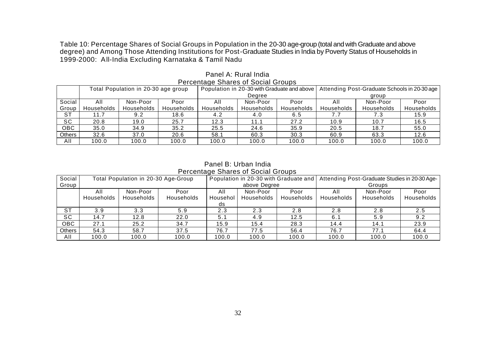Table 10: Percentage Shares of Social Groups in Population in the 20-30 age-group (total and with Graduate and above degree) and Among Those Attending Institutions for Post-Graduate Studies in India by Poverty Status of Households in 1999-2000: All-India Excluding Karnataka & Tamil Nadu

|            | י טוסטום שוואס און סיפונט סאוועט    |            |                   |                                             |            |            |                                              |            |            |  |
|------------|-------------------------------------|------------|-------------------|---------------------------------------------|------------|------------|----------------------------------------------|------------|------------|--|
|            | Total Population in 20-30 age group |            |                   | Population in 20-30 with Graduate and above |            |            | Attending Post-Graduate Schools in 20-30 age |            |            |  |
|            |                                     |            |                   |                                             | Dearee     |            | group                                        |            |            |  |
| Social     | All                                 | Non-Poor   | Poor              | All                                         | Non-Poor   | Poor       | All                                          | Non-Poor   | Poor       |  |
| Group      | Households                          | Households | <b>Households</b> | Households                                  | Households | Households | Households                                   | Households | Households |  |
| <b>ST</b>  | 11.7                                | 9.2        | 18.6              | 4.2                                         | 4.0        | 6.5        |                                              | 7.3        | 15.9       |  |
| <b>SC</b>  | 20.8                                | 19.0       | 25.7              | 12.3                                        | 11.1       | 27.2       | 10.9                                         | 10.7       | 16.5       |  |
| <b>OBC</b> | 35.0                                | 34.9       | 35.2              | 25.5                                        | 24.6       | 35.9       | 20.5                                         | 18.7       | 55.0       |  |
| Others     | 32.6                                | 37.0       | 20.6              | 58.1                                        | 60.3       | 30.3       | 60.9                                         | 63.3       | 12.6       |  |
| All        | 100.0                               | 100.0      | 100.0             | 100.0                                       | 100.0      | 100.0      | 100.0                                        | 100.0      | 100.0      |  |

Panel A: Rural India Percentage Shares of Social Groups

Panel B: Urban India Percentage Shares of Social Groups

| Social     | Total Population in 20-30 Age-Group |                        |                           | Population in 20-30 with Graduate and |                        |                    | Attending Post-Graduate Studies in 20-30 Age- |                        |                    |  |
|------------|-------------------------------------|------------------------|---------------------------|---------------------------------------|------------------------|--------------------|-----------------------------------------------|------------------------|--------------------|--|
| Group      |                                     |                        |                           |                                       | above Degree           |                    |                                               | Groups                 |                    |  |
|            | All<br>Households                   | Non-Poor<br>Households | Poor<br><b>Households</b> | All<br>Househol<br>ds                 | Non-Poor<br>Households | Poor<br>Households | All<br>Households                             | Non-Poor<br>Households | Poor<br>Households |  |
| <b>ST</b>  | 3.9                                 | 3.3                    | 5.9                       | 2.3                                   | 2.3                    | 2.8                | 2.8                                           | 2.8                    | 2.5                |  |
| <b>SC</b>  | 14.7                                | 12.8                   | 22.0                      | 5.1                                   | 4.9                    | 12.5               | 6. <sup>.</sup>                               | 5.9                    | 9.2                |  |
| <b>OBC</b> | 27.1                                | 25.2                   | 34.7                      | 15.9                                  | 15.4                   | 28.3               | 14.4                                          | 14.1                   | 23.9               |  |
| Others     | 54.3                                | 58.7                   | 37.5                      | 76.7                                  | 77.5                   | 56.4               | 76.7                                          | 77.7                   | 64.4               |  |
| All        | 100.0                               | 100.0                  | 100.0                     | 100.0                                 | 100.0                  | 100.0              | 100.0                                         | 100.0                  | 100.0              |  |